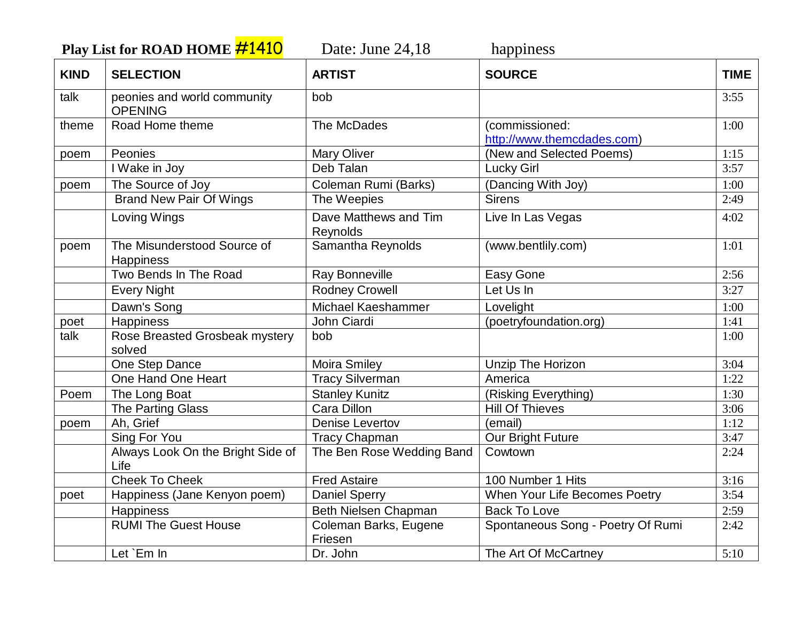**Play List for ROAD HOME #1410** Date: June 24,18 happiness

| <b>KIND</b> | <b>SELECTION</b>                              | <b>ARTIST</b>                     | <b>SOURCE</b>                                | <b>TIME</b> |
|-------------|-----------------------------------------------|-----------------------------------|----------------------------------------------|-------------|
| talk        | peonies and world community<br><b>OPENING</b> | bob                               |                                              | 3:55        |
| theme       | Road Home theme                               | The McDades                       | (commissioned:<br>http://www.themcdades.com) | 1:00        |
| poem        | Peonies                                       | <b>Mary Oliver</b>                | (New and Selected Poems)                     | 1:15        |
|             | I Wake in Joy                                 | Deb Talan                         | <b>Lucky Girl</b>                            | 3:57        |
| poem        | The Source of Joy                             | Coleman Rumi (Barks)              | (Dancing With Joy)                           | 1:00        |
|             | <b>Brand New Pair Of Wings</b>                | The Weepies                       | <b>Sirens</b>                                | 2:49        |
|             | Loving Wings                                  | Dave Matthews and Tim<br>Reynolds | Live In Las Vegas                            | 4:02        |
| poem        | The Misunderstood Source of<br>Happiness      | Samantha Reynolds                 | (www.bentlily.com)                           | 1:01        |
|             | Two Bends In The Road                         | Ray Bonneville                    | Easy Gone                                    | 2:56        |
|             | <b>Every Night</b>                            | <b>Rodney Crowell</b>             | Let Us In                                    | 3:27        |
|             | Dawn's Song                                   | <b>Michael Kaeshammer</b>         | Lovelight                                    | 1:00        |
| poet        | Happiness                                     | John Ciardi                       | (poetryfoundation.org)                       | 1:41        |
| talk        | Rose Breasted Grosbeak mystery<br>solved      | bob                               |                                              | 1:00        |
|             | One Step Dance                                | <b>Moira Smiley</b>               | Unzip The Horizon                            | 3:04        |
|             | One Hand One Heart                            | <b>Tracy Silverman</b>            | America                                      | 1:22        |
| Poem        | The Long Boat                                 | <b>Stanley Kunitz</b>             | (Risking Everything)                         | 1:30        |
|             | <b>The Parting Glass</b>                      | Cara Dillon                       | <b>Hill Of Thieves</b>                       | 3:06        |
| poem        | Ah, Grief                                     | <b>Denise Levertov</b>            | (email)                                      | 1:12        |
|             | Sing For You                                  | <b>Tracy Chapman</b>              | Our Bright Future                            | 3:47        |
|             | Always Look On the Bright Side of<br>Life     | The Ben Rose Wedding Band         | Cowtown                                      | 2:24        |
|             | <b>Cheek To Cheek</b>                         | <b>Fred Astaire</b>               | 100 Number 1 Hits                            | 3:16        |
| poet        | Happiness (Jane Kenyon poem)                  | <b>Daniel Sperry</b>              | When Your Life Becomes Poetry                | 3:54        |
|             | Happiness                                     | Beth Nielsen Chapman              | <b>Back To Love</b>                          | 2:59        |
|             | <b>RUMI The Guest House</b>                   | Coleman Barks, Eugene<br>Friesen  | Spontaneous Song - Poetry Of Rumi            | 2:42        |
|             | Let `Em In                                    | Dr. John                          | The Art Of McCartney                         | 5:10        |